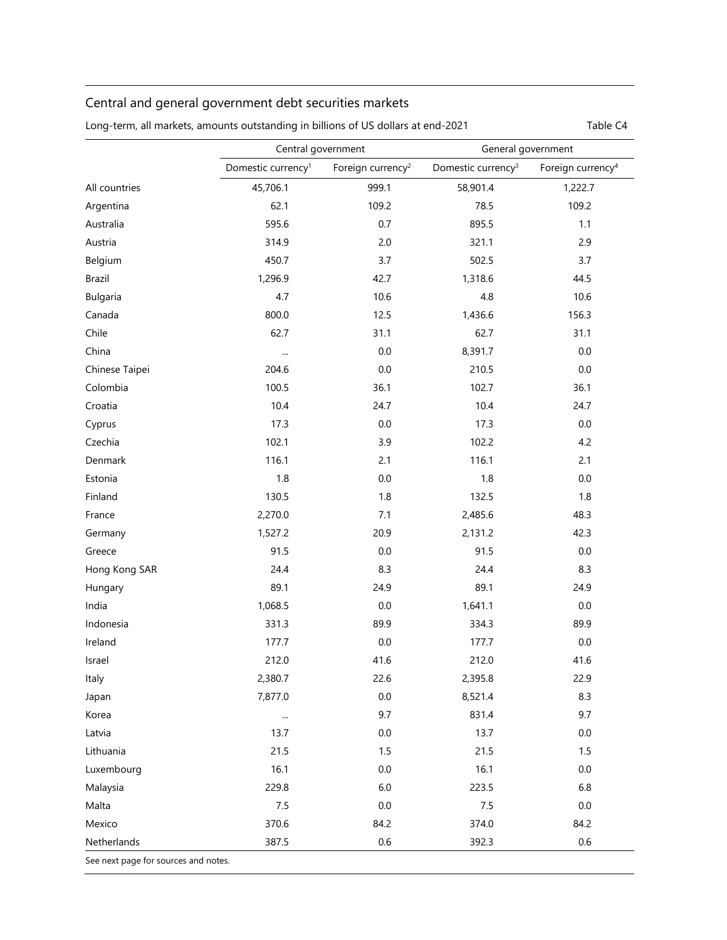## Central and general government debt securities markets

|                | Central government             |                               | General government             |                               |
|----------------|--------------------------------|-------------------------------|--------------------------------|-------------------------------|
|                | Domestic currency <sup>1</sup> | Foreign currency <sup>2</sup> | Domestic currency <sup>3</sup> | Foreign currency <sup>4</sup> |
| All countries  | 45,706.1                       | 999.1                         | 58,901.4                       | 1,222.7                       |
| Argentina      | 62.1                           | 109.2                         | 78.5                           | 109.2                         |
| Australia      | 595.6                          | 0.7                           | 895.5                          | 1.1                           |
| Austria        | 314.9                          | 2.0                           | 321.1                          | 2.9                           |
| Belgium        | 450.7                          | 3.7                           | 502.5                          | 3.7                           |
| <b>Brazil</b>  | 1,296.9                        | 42.7                          | 1,318.6                        | 44.5                          |
| Bulgaria       | 4.7                            | 10.6                          | 4.8                            | 10.6                          |
| Canada         | 800.0                          | 12.5                          | 1,436.6                        | 156.3                         |
| Chile          | 62.7                           | 31.1                          | 62.7                           | 31.1                          |
| China          |                                | 0.0                           | 8,391.7                        | $0.0\,$                       |
| Chinese Taipei | 204.6                          | $0.0\,$                       | 210.5                          | $0.0\,$                       |
| Colombia       | 100.5                          | 36.1                          | 102.7                          | 36.1                          |
| Croatia        | 10.4                           | 24.7                          | 10.4                           | 24.7                          |
| Cyprus         | 17.3                           | 0.0                           | 17.3                           | $0.0\,$                       |
| Czechia        | 102.1                          | 3.9                           | 102.2                          | 4.2                           |
| Denmark        | 116.1                          | 2.1                           | 116.1                          | 2.1                           |
| Estonia        | 1.8                            | 0.0                           | 1.8                            | 0.0                           |
| Finland        | 130.5                          | 1.8                           | 132.5                          | 1.8                           |
| France         | 2,270.0                        | 7.1                           | 2,485.6                        | 48.3                          |
| Germany        | 1,527.2                        | 20.9                          | 2,131.2                        | 42.3                          |
| Greece         | 91.5                           | 0.0                           | 91.5                           | $0.0\,$                       |
| Hong Kong SAR  | 24.4                           | 8.3                           | 24.4                           | 8.3                           |
| Hungary        | 89.1                           | 24.9                          | 89.1                           | 24.9                          |
| India          | 1,068.5                        | $0.0\,$                       | 1,641.1                        | 0.0                           |
| Indonesia      | 331.3                          | 89.9                          | 334.3                          | 89.9                          |
| Ireland        | 177.7                          | 0.0                           | 177.7                          | 0.0                           |
| Israel         | 212.0                          | 41.6                          | 212.0                          | 41.6                          |
| Italy          | 2,380.7                        | 22.6                          | 2,395.8                        | 22.9                          |
| Japan          | 7,877.0                        | $0.0\,$                       | 8,521.4                        | 8.3                           |
| Korea          | $\cdots$                       | 9.7                           | 831.4                          | 9.7                           |
| Latvia         | 13.7                           | 0.0                           | 13.7                           | 0.0                           |
| Lithuania      | 21.5                           | 1.5                           | 21.5                           | 1.5                           |
| Luxembourg     | 16.1                           | 0.0                           | 16.1                           | 0.0                           |
| Malaysia       | 229.8                          | $6.0\,$                       | 223.5                          | 6.8                           |
| Malta          | 7.5                            | $0.0\,$                       | 7.5                            | $0.0\,$                       |
| Mexico         | 370.6                          | 84.2                          | 374.0                          | 84.2                          |
| Netherlands    | 387.5                          | 0.6                           | 392.3                          | 0.6                           |

Long-term, all markets, amounts outstanding in billions of US dollars at end-2021 Table C4

See next page for sources and notes.